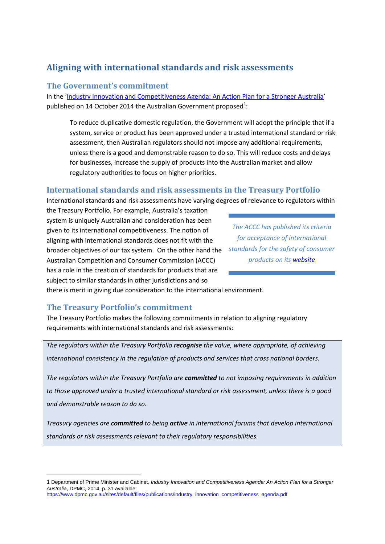# **Aligning with international standards and risk assessments**

### **The Government's commitment**

In the ['Industry Innovation and Competitiveness Agenda: An Action Plan for a Stronger Australia'](https://www.dpmc.gov.au/sites/default/files/publications/industry_innovation_competitiveness_agenda.pdf) published on [1](#page-0-0)4 October 2014 the Australian Government proposed $^1$ :

To reduce duplicative domestic regulation, the Government will adopt the principle that if a system, service or product has been approved under a trusted international standard or risk assessment, then Australian regulators should not impose any additional requirements, unless there is a good and demonstrable reason to do so. This will reduce costs and delays for businesses, increase the supply of products into the Australian market and allow regulatory authorities to focus on higher priorities.

## **International standards and risk assessments in the Treasury Portfolio**

International standards and risk assessments have varying degrees of relevance to regulators within

the Treasury Portfolio. For example, Australia's taxation system is uniquely Australian and consideration has been given to its international competitiveness. The notion of aligning with international standards does not fit with the broader objectives of our tax system. On the other hand the Australian Competition and Consumer Commission (ACCC) has a role in the creation of standards for products that are subject to similar standards in other jurisdictions and so

*The ACCC has published its criteria for acceptance of international standards for the safety of consumer products on its [website](http://www.productsafety.gov.au/content/item.phtml?itemId=1014180&nodeId=8c5e403e1c3370083bd125af4e1a6f42&fn=ACCC%20policy%20principle%20-%20International%20standards%20for%20the%20safety%20of%20consumer%20products%20-%20criteria%20for%20acceptance.pdf)*

there is merit in giving due consideration to the international environment.

#### **The Treasury Portfolio's commitment**

 $\overline{\phantom{a}}$ 

The Treasury Portfolio makes the following commitments in relation to aligning regulatory requirements with international standards and risk assessments:

*The regulators within the Treasury Portfolio recognise the value, where appropriate, of achieving international consistency in the regulation of products and services that cross national borders.*

*The regulators within the Treasury Portfolio are committed to not imposing requirements in addition to those approved under a trusted international standard or risk assessment, unless there is a good and demonstrable reason to do so.* 

*Treasury agencies are committed to being active in international forums that develop international standards or risk assessments relevant to their regulatory responsibilities.*

<span id="page-0-0"></span><sup>1</sup> Department of Prime Minister and Cabinet*, Industry Innovation and Competitiveness Agenda: An Action Plan for a Stronger Australia*, DPMC, 2014, p. 31 available: [https://www.dpmc.gov.au/sites/default/files/publications/industry\\_innovation\\_competitiveness\\_agenda.pdf](https://www.dpmc.gov.au/sites/default/files/publications/industry_innovation_competitiveness_agenda.pdf)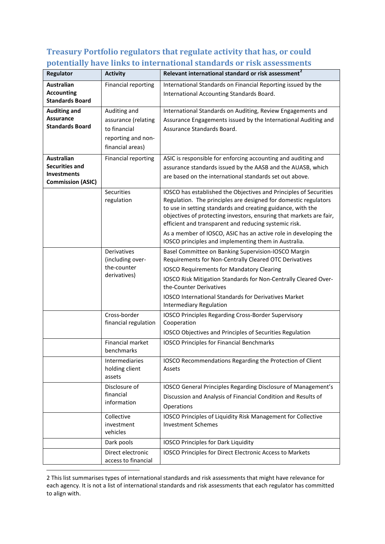## **Treasury Portfolio regulators that regulate activity that has, or could potentially have links to international standards or risk assessments**

| <b>Regulator</b>                                                                             | <b>Activity</b>                                                                               | Relevant international standard or risk assessment <sup>2</sup>                                                                                                                                                                                                                                                                                                                                        |
|----------------------------------------------------------------------------------------------|-----------------------------------------------------------------------------------------------|--------------------------------------------------------------------------------------------------------------------------------------------------------------------------------------------------------------------------------------------------------------------------------------------------------------------------------------------------------------------------------------------------------|
| <b>Australian</b><br><b>Accounting</b><br><b>Standards Board</b>                             | Financial reporting                                                                           | International Standards on Financial Reporting issued by the<br>International Accounting Standards Board.                                                                                                                                                                                                                                                                                              |
| <b>Auditing and</b><br><b>Assurance</b><br><b>Standards Board</b>                            | Auditing and<br>assurance (relating<br>to financial<br>reporting and non-<br>financial areas) | International Standards on Auditing, Review Engagements and<br>Assurance Engagements issued by the International Auditing and<br>Assurance Standards Board.                                                                                                                                                                                                                                            |
| <b>Australian</b><br><b>Securities and</b><br><b>Investments</b><br><b>Commission (ASIC)</b> | <b>Financial reporting</b>                                                                    | ASIC is responsible for enforcing accounting and auditing and<br>assurance standards issued by the AASB and the AUASB, which<br>are based on the international standards set out above.                                                                                                                                                                                                                |
|                                                                                              | Securities<br>regulation                                                                      | IOSCO has established the Objectives and Principles of Securities<br>Regulation. The principles are designed for domestic regulators<br>to use in setting standards and creating guidance, with the<br>objectives of protecting investors, ensuring that markets are fair,<br>efficient and transparent and reducing systemic risk.<br>As a member of IOSCO, ASIC has an active role in developing the |
|                                                                                              | Derivatives<br>(including over-<br>the-counter<br>derivatives)                                | IOSCO principles and implementing them in Australia.<br>Basel Committee on Banking Supervision-IOSCO Margin<br>Requirements for Non-Centrally Cleared OTC Derivatives<br><b>IOSCO Requirements for Mandatory Clearing</b><br>IOSCO Risk Mitigation Standards for Non-Centrally Cleared Over-<br>the-Counter Derivatives                                                                                |
|                                                                                              |                                                                                               | IOSCO International Standards for Derivatives Market<br><b>Intermediary Regulation</b>                                                                                                                                                                                                                                                                                                                 |
|                                                                                              | Cross-border<br>financial regulation                                                          | IOSCO Principles Regarding Cross-Border Supervisory<br>Cooperation<br>IOSCO Objectives and Principles of Securities Regulation                                                                                                                                                                                                                                                                         |
|                                                                                              | <b>Financial market</b><br>benchmarks                                                         | <b>IOSCO Principles for Financial Benchmarks</b>                                                                                                                                                                                                                                                                                                                                                       |
|                                                                                              | Intermediaries<br>holding client<br>assets                                                    | IOSCO Recommendations Regarding the Protection of Client<br>Assets                                                                                                                                                                                                                                                                                                                                     |
|                                                                                              | Disclosure of<br>financial<br>information                                                     | IOSCO General Principles Regarding Disclosure of Management's<br>Discussion and Analysis of Financial Condition and Results of<br>Operations                                                                                                                                                                                                                                                           |
|                                                                                              | Collective<br>investment<br>vehicles                                                          | IOSCO Principles of Liquidity Risk Management for Collective<br><b>Investment Schemes</b>                                                                                                                                                                                                                                                                                                              |
|                                                                                              | Dark pools<br>Direct electronic                                                               | <b>IOSCO Principles for Dark Liquidity</b><br>IOSCO Principles for Direct Electronic Access to Markets                                                                                                                                                                                                                                                                                                 |
|                                                                                              | access to financial                                                                           |                                                                                                                                                                                                                                                                                                                                                                                                        |

<span id="page-1-0"></span>2 This list summarises types of international standards and risk assessments that might have relevance for each agency. It is not a list of international standards and risk assessments that each regulator has committed to align with.

 $\overline{\phantom{a}}$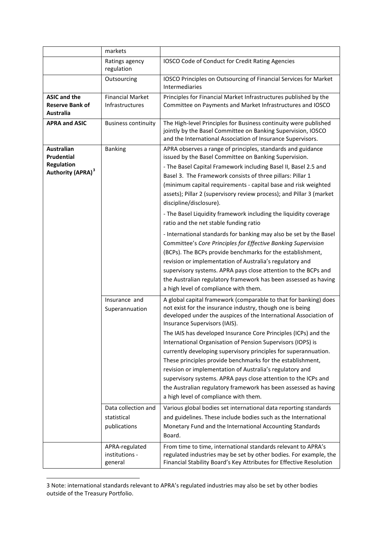|                                                                                       | markets                                                |                                                                                                                                                                                                                                                                                                                                                                                                                                                                                                                                                                                                                                                                                                                                                                                                                     |
|---------------------------------------------------------------------------------------|--------------------------------------------------------|---------------------------------------------------------------------------------------------------------------------------------------------------------------------------------------------------------------------------------------------------------------------------------------------------------------------------------------------------------------------------------------------------------------------------------------------------------------------------------------------------------------------------------------------------------------------------------------------------------------------------------------------------------------------------------------------------------------------------------------------------------------------------------------------------------------------|
|                                                                                       | Ratings agency<br>regulation                           | IOSCO Code of Conduct for Credit Rating Agencies                                                                                                                                                                                                                                                                                                                                                                                                                                                                                                                                                                                                                                                                                                                                                                    |
|                                                                                       | Outsourcing                                            | IOSCO Principles on Outsourcing of Financial Services for Market<br>Intermediaries                                                                                                                                                                                                                                                                                                                                                                                                                                                                                                                                                                                                                                                                                                                                  |
| <b>ASIC and the</b><br><b>Reserve Bank of</b><br><b>Australia</b>                     | Financial Market<br>Infrastructures                    | Principles for Financial Market Infrastructures published by the<br>Committee on Payments and Market Infrastructures and IOSCO                                                                                                                                                                                                                                                                                                                                                                                                                                                                                                                                                                                                                                                                                      |
| <b>APRA and ASIC</b>                                                                  | <b>Business continuity</b>                             | The High-level Principles for Business continuity were published<br>jointly by the Basel Committee on Banking Supervision, IOSCO<br>and the International Association of Insurance Supervisors.                                                                                                                                                                                                                                                                                                                                                                                                                                                                                                                                                                                                                     |
| <b>Australian</b><br>Prudential<br><b>Regulation</b><br>Authority (APRA) <sup>3</sup> | <b>Banking</b>                                         | APRA observes a range of principles, standards and guidance<br>issued by the Basel Committee on Banking Supervision.<br>- The Basel Capital Framework including Basel II, Basel 2.5 and<br>Basel 3. The Framework consists of three pillars: Pillar 1<br>(minimum capital requirements - capital base and risk weighted<br>assets); Pillar 2 (supervisory review process); and Pillar 3 (market<br>discipline/disclosure).                                                                                                                                                                                                                                                                                                                                                                                          |
|                                                                                       |                                                        | - The Basel Liquidity framework including the liquidity coverage<br>ratio and the net stable funding ratio<br>- International standards for banking may also be set by the Basel<br>Committee's Core Principles for Effective Banking Supervision<br>(BCPs). The BCPs provide benchmarks for the establishment,<br>revision or implementation of Australia's regulatory and<br>supervisory systems. APRA pays close attention to the BCPs and<br>the Australian regulatory framework has been assessed as having<br>a high level of compliance with them.                                                                                                                                                                                                                                                           |
|                                                                                       | Insurance and<br>Superannuation<br>Data collection and | A global capital framework (comparable to that for banking) does<br>not exist for the insurance industry, though one is being<br>developed under the auspices of the International Association of<br>Insurance Supervisors (IAIS).<br>The IAIS has developed Insurance Core Principles (ICPs) and the<br>International Organisation of Pension Supervisors (IOPS) is<br>currently developing supervisory principles for superannuation.<br>These principles provide benchmarks for the establishment,<br>revision or implementation of Australia's regulatory and<br>supervisory systems. APRA pays close attention to the ICPs and<br>the Australian regulatory framework has been assessed as having<br>a high level of compliance with them.<br>Various global bodies set international data reporting standards |
|                                                                                       | statistical<br>publications                            | and guidelines. These include bodies such as the International<br>Monetary Fund and the International Accounting Standards<br>Board.                                                                                                                                                                                                                                                                                                                                                                                                                                                                                                                                                                                                                                                                                |
|                                                                                       | APRA-regulated<br>institutions -<br>general            | From time to time, international standards relevant to APRA's<br>regulated industries may be set by other bodies. For example, the<br>Financial Stability Board's Key Attributes for Effective Resolution                                                                                                                                                                                                                                                                                                                                                                                                                                                                                                                                                                                                           |

<span id="page-2-0"></span><sup>3</sup> Note: international standards relevant to APRA's regulated industries may also be set by other bodies outside of the Treasury Portfolio.

 $\overline{\phantom{a}}$